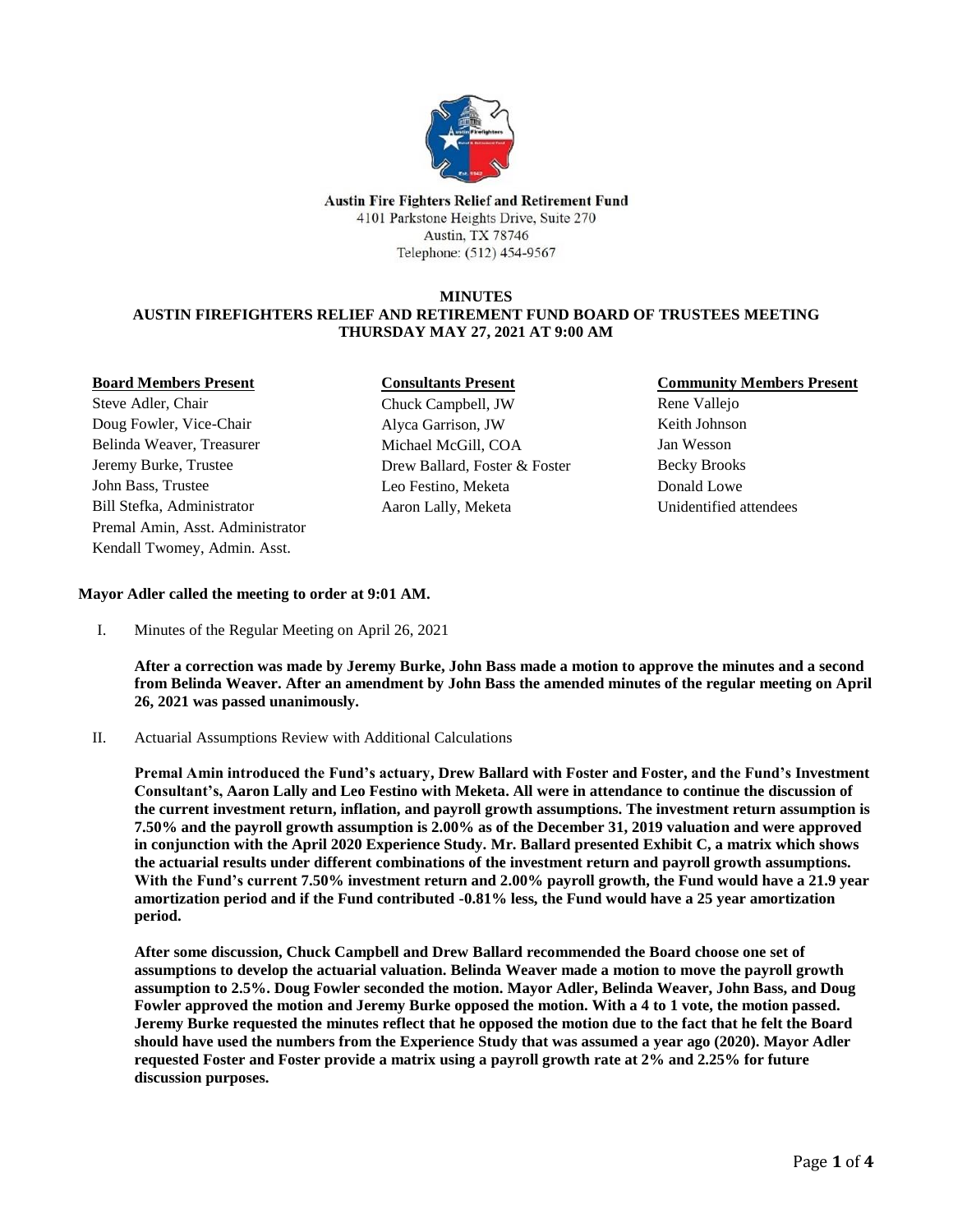

**Austin Fire Fighters Relief and Retirement Fund** 4101 Parkstone Heights Drive, Suite 270 **Austin, TX 78746** Telephone: (512) 454-9567

### **MINUTES**

## **AUSTIN FIREFIGHTERS RELIEF AND RETIREMENT FUND BOARD OF TRUSTEES MEETING THURSDAY MAY 27, 2021 AT 9:00 AM**

### **Board Members Present**

Steve Adler, Chair Doug Fowler, Vice-Chair Belinda Weaver, Treasurer Jeremy Burke, Trustee John Bass, Trustee Bill Stefka, Administrator Premal Amin, Asst. Administrator Kendall Twomey, Admin. Asst.

## **Consultants Present**

Chuck Campbell, JW Alyca Garrison, JW Michael McGill, COA Drew Ballard, Foster & Foster Leo Festino, Meketa Aaron Lally, Meketa

## **Community Members Present**

Rene Vallejo Keith Johnson Jan Wesson Becky Brooks Donald Lowe Unidentified attendees

## **Mayor Adler called the meeting to order at 9:01 AM.**

I. Minutes of the Regular Meeting on April 26, 2021

**After a correction was made by Jeremy Burke, John Bass made a motion to approve the minutes and a second from Belinda Weaver. After an amendment by John Bass the amended minutes of the regular meeting on April 26, 2021 was passed unanimously.** 

II. Actuarial Assumptions Review with Additional Calculations

**Premal Amin introduced the Fund's actuary, Drew Ballard with Foster and Foster, and the Fund's Investment Consultant's, Aaron Lally and Leo Festino with Meketa. All were in attendance to continue the discussion of the current investment return, inflation, and payroll growth assumptions. The investment return assumption is 7.50% and the payroll growth assumption is 2.00% as of the December 31, 2019 valuation and were approved in conjunction with the April 2020 Experience Study. Mr. Ballard presented Exhibit C, a matrix which shows the actuarial results under different combinations of the investment return and payroll growth assumptions. With the Fund's current 7.50% investment return and 2.00% payroll growth, the Fund would have a 21.9 year amortization period and if the Fund contributed -0.81% less, the Fund would have a 25 year amortization period.**

**After some discussion, Chuck Campbell and Drew Ballard recommended the Board choose one set of assumptions to develop the actuarial valuation. Belinda Weaver made a motion to move the payroll growth assumption to 2.5%. Doug Fowler seconded the motion. Mayor Adler, Belinda Weaver, John Bass, and Doug Fowler approved the motion and Jeremy Burke opposed the motion. With a 4 to 1 vote, the motion passed. Jeremy Burke requested the minutes reflect that he opposed the motion due to the fact that he felt the Board should have used the numbers from the Experience Study that was assumed a year ago (2020). Mayor Adler requested Foster and Foster provide a matrix using a payroll growth rate at 2% and 2.25% for future discussion purposes.**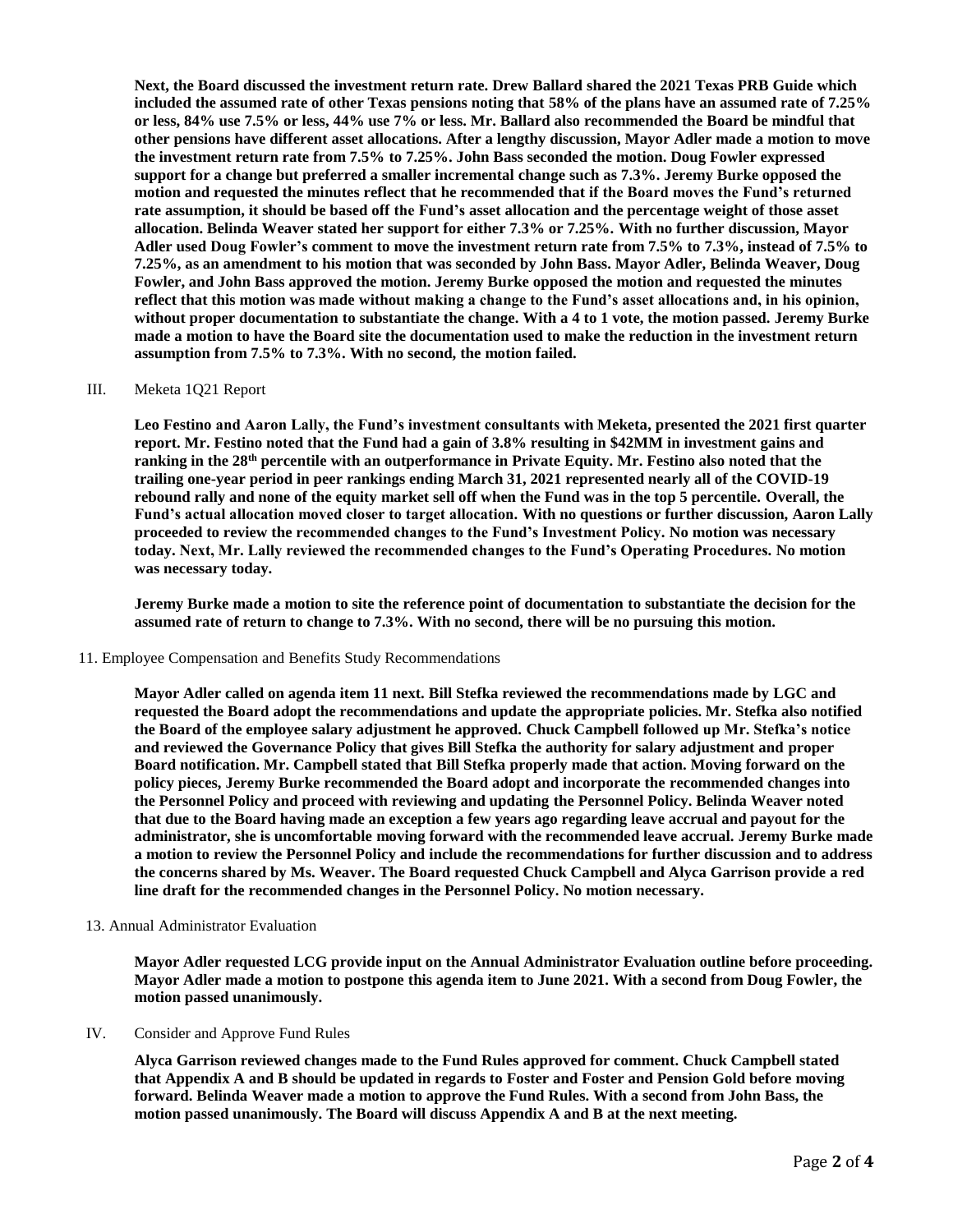**Next, the Board discussed the investment return rate. Drew Ballard shared the 2021 Texas PRB Guide which included the assumed rate of other Texas pensions noting that 58% of the plans have an assumed rate of 7.25% or less, 84% use 7.5% or less, 44% use 7% or less. Mr. Ballard also recommended the Board be mindful that other pensions have different asset allocations. After a lengthy discussion, Mayor Adler made a motion to move the investment return rate from 7.5% to 7.25%. John Bass seconded the motion. Doug Fowler expressed support for a change but preferred a smaller incremental change such as 7.3%. Jeremy Burke opposed the motion and requested the minutes reflect that he recommended that if the Board moves the Fund's returned rate assumption, it should be based off the Fund's asset allocation and the percentage weight of those asset allocation. Belinda Weaver stated her support for either 7.3% or 7.25%. With no further discussion, Mayor Adler used Doug Fowler's comment to move the investment return rate from 7.5% to 7.3%, instead of 7.5% to 7.25%, as an amendment to his motion that was seconded by John Bass. Mayor Adler, Belinda Weaver, Doug Fowler, and John Bass approved the motion. Jeremy Burke opposed the motion and requested the minutes reflect that this motion was made without making a change to the Fund's asset allocations and, in his opinion, without proper documentation to substantiate the change. With a 4 to 1 vote, the motion passed. Jeremy Burke made a motion to have the Board site the documentation used to make the reduction in the investment return assumption from 7.5% to 7.3%. With no second, the motion failed.**

### III. Meketa 1Q21 Report

**Leo Festino and Aaron Lally, the Fund's investment consultants with Meketa, presented the 2021 first quarter report. Mr. Festino noted that the Fund had a gain of 3.8% resulting in \$42MM in investment gains and ranking in the 28th percentile with an outperformance in Private Equity. Mr. Festino also noted that the trailing one-year period in peer rankings ending March 31, 2021 represented nearly all of the COVID-19 rebound rally and none of the equity market sell off when the Fund was in the top 5 percentile. Overall, the Fund's actual allocation moved closer to target allocation. With no questions or further discussion, Aaron Lally proceeded to review the recommended changes to the Fund's Investment Policy. No motion was necessary today. Next, Mr. Lally reviewed the recommended changes to the Fund's Operating Procedures. No motion was necessary today.**

**Jeremy Burke made a motion to site the reference point of documentation to substantiate the decision for the assumed rate of return to change to 7.3%. With no second, there will be no pursuing this motion.** 

11. Employee Compensation and Benefits Study Recommendations

**Mayor Adler called on agenda item 11 next. Bill Stefka reviewed the recommendations made by LGC and requested the Board adopt the recommendations and update the appropriate policies. Mr. Stefka also notified the Board of the employee salary adjustment he approved. Chuck Campbell followed up Mr. Stefka's notice and reviewed the Governance Policy that gives Bill Stefka the authority for salary adjustment and proper Board notification. Mr. Campbell stated that Bill Stefka properly made that action. Moving forward on the policy pieces, Jeremy Burke recommended the Board adopt and incorporate the recommended changes into the Personnel Policy and proceed with reviewing and updating the Personnel Policy. Belinda Weaver noted that due to the Board having made an exception a few years ago regarding leave accrual and payout for the administrator, she is uncomfortable moving forward with the recommended leave accrual. Jeremy Burke made a motion to review the Personnel Policy and include the recommendations for further discussion and to address the concerns shared by Ms. Weaver. The Board requested Chuck Campbell and Alyca Garrison provide a red line draft for the recommended changes in the Personnel Policy. No motion necessary.**

13. Annual Administrator Evaluation

**Mayor Adler requested LCG provide input on the Annual Administrator Evaluation outline before proceeding. Mayor Adler made a motion to postpone this agenda item to June 2021. With a second from Doug Fowler, the motion passed unanimously.** 

IV. Consider and Approve Fund Rules

**Alyca Garrison reviewed changes made to the Fund Rules approved for comment. Chuck Campbell stated that Appendix A and B should be updated in regards to Foster and Foster and Pension Gold before moving forward. Belinda Weaver made a motion to approve the Fund Rules. With a second from John Bass, the motion passed unanimously. The Board will discuss Appendix A and B at the next meeting.**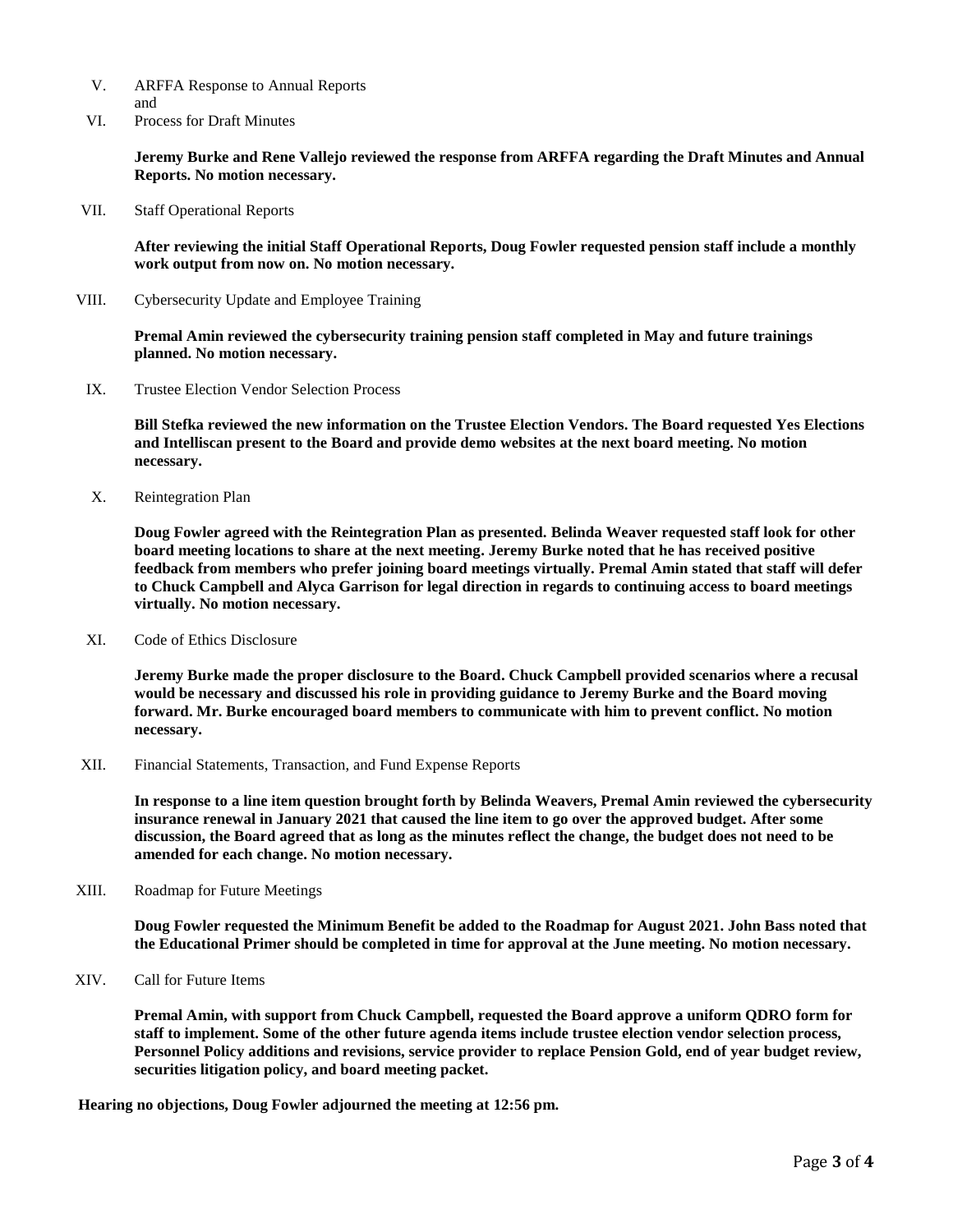- V. ARFFA Response to Annual Reports and
- VI. Process for Draft Minutes

**Jeremy Burke and Rene Vallejo reviewed the response from ARFFA regarding the Draft Minutes and Annual Reports. No motion necessary.** 

VII. Staff Operational Reports

**After reviewing the initial Staff Operational Reports, Doug Fowler requested pension staff include a monthly work output from now on. No motion necessary.**

VIII. Cybersecurity Update and Employee Training

**Premal Amin reviewed the cybersecurity training pension staff completed in May and future trainings planned. No motion necessary.**

IX. Trustee Election Vendor Selection Process

**Bill Stefka reviewed the new information on the Trustee Election Vendors. The Board requested Yes Elections and Intelliscan present to the Board and provide demo websites at the next board meeting. No motion necessary.** 

X. Reintegration Plan

**Doug Fowler agreed with the Reintegration Plan as presented. Belinda Weaver requested staff look for other board meeting locations to share at the next meeting. Jeremy Burke noted that he has received positive feedback from members who prefer joining board meetings virtually. Premal Amin stated that staff will defer to Chuck Campbell and Alyca Garrison for legal direction in regards to continuing access to board meetings virtually. No motion necessary.**

XI. Code of Ethics Disclosure

**Jeremy Burke made the proper disclosure to the Board. Chuck Campbell provided scenarios where a recusal would be necessary and discussed his role in providing guidance to Jeremy Burke and the Board moving forward. Mr. Burke encouraged board members to communicate with him to prevent conflict. No motion necessary.**

XII. Financial Statements, Transaction, and Fund Expense Reports

**In response to a line item question brought forth by Belinda Weavers, Premal Amin reviewed the cybersecurity insurance renewal in January 2021 that caused the line item to go over the approved budget. After some discussion, the Board agreed that as long as the minutes reflect the change, the budget does not need to be amended for each change. No motion necessary.** 

XIII. Roadmap for Future Meetings

**Doug Fowler requested the Minimum Benefit be added to the Roadmap for August 2021. John Bass noted that the Educational Primer should be completed in time for approval at the June meeting. No motion necessary.** 

XIV. Call for Future Items

**Premal Amin, with support from Chuck Campbell, requested the Board approve a uniform QDRO form for staff to implement. Some of the other future agenda items include trustee election vendor selection process, Personnel Policy additions and revisions, service provider to replace Pension Gold, end of year budget review, securities litigation policy, and board meeting packet.** 

**Hearing no objections, Doug Fowler adjourned the meeting at 12:56 pm.**